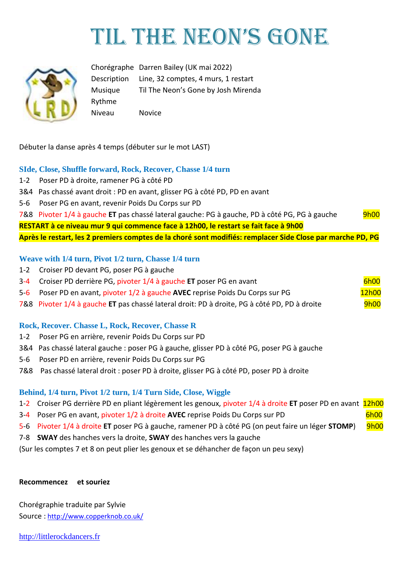# TIL THE NEON'S GONE



Chorégraphe Darren Bailey (UK mai 2022) Description Line, 32 comptes, 4 murs, 1 restart Musique Til The Neon's Gone by Josh Mirenda Rythme Niveau Novice

Débuter la danse après 4 temps (débuter sur le mot LAST)

#### **SIde, Close, Shuffle forward, Rock, Recover, Chasse 1/4 turn**

- 1-2 Poser PD à droite, ramener PG à côté PD
- 3&4 Pas chassé avant droit : PD en avant, glisser PG à côté PD, PD en avant
- 5-6 Poser PG en avant, revenir Poids Du Corps sur PD

7&8 Pivoter 1/4 à gauche ET pas chassé lateral gauche: PG à gauche, PD à côté PG, PG à gauche 9h00

**RESTART à ce niveau mur 9 qui commence face à 12h00, le restart se fait face à 9h00**

**Après le restart, les 2 premiers comptes de la choré sont modifiés: remplacer Side Close par marche PD, PG**

#### **Weave with 1/4 turn, Pivot 1/2 turn, Chasse 1/4 turn**

- 1-2 Croiser PD devant PG, poser PG à gauche
- 3-4 Croiser PD derrière PG, pivoter 1/4 à gauche **ET** poser PG en avant
- 5-6 Poser PD en avant, pivoter 1/2 à gauche **AVEC** reprise Poids Du Corps sur PG 12h00

7&8 Pivoter 1/4 à gauche **ET** pas chassé lateral droit: PD à droite, PG à côté PD, PD à droite 9h00

#### **Rock, Recover. Chasse L, Rock, Recover, Chasse R**

- 1-2 Poser PG en arrière, revenir Poids Du Corps sur PD
- 3&4 Pas chassé lateral gauche : poser PG à gauche, glisser PD à côté PG, poser PG à gauche
- 5-6 Poser PD en arrière, revenir Poids Du Corps sur PG
- 7&8 Pas chassé lateral droit : poser PD à droite, glisser PG à côté PD, poser PD à droite

#### **Behind, 1/4 turn, Pivot 1/2 turn, 1/4 Turn Side, Close, Wiggle**

- 1-2 Croiser PG derrière PD en pliant légèrement les genoux, pivoter 1/4 à droite **ET** poser PD en avant 12h00
- 3-4 Poser PG en avant, pivoter 1/2 à droite AVEC reprise Poids Du Corps sur PD 6h00
- 5-6 Pivoter 1/4 à droite ET poser PG à gauche, ramener PD à côté PG (on peut faire un léger STOMP) 9h00
- 7-8 **SWAY** des hanches vers la droite, **SWAY** des hanches vers la gauche

(Sur les comptes 7 et 8 on peut plier les genoux et se déhancher de façon un peu sexy)

#### **Recommencez et souriez**

Chorégraphie traduite par Sylvie Source : [http://www.copperknob.co.uk/](https://www.copperknob.co.uk/) 

[http://littlerockdancers.fr](http://littlerockdancers.fr/)